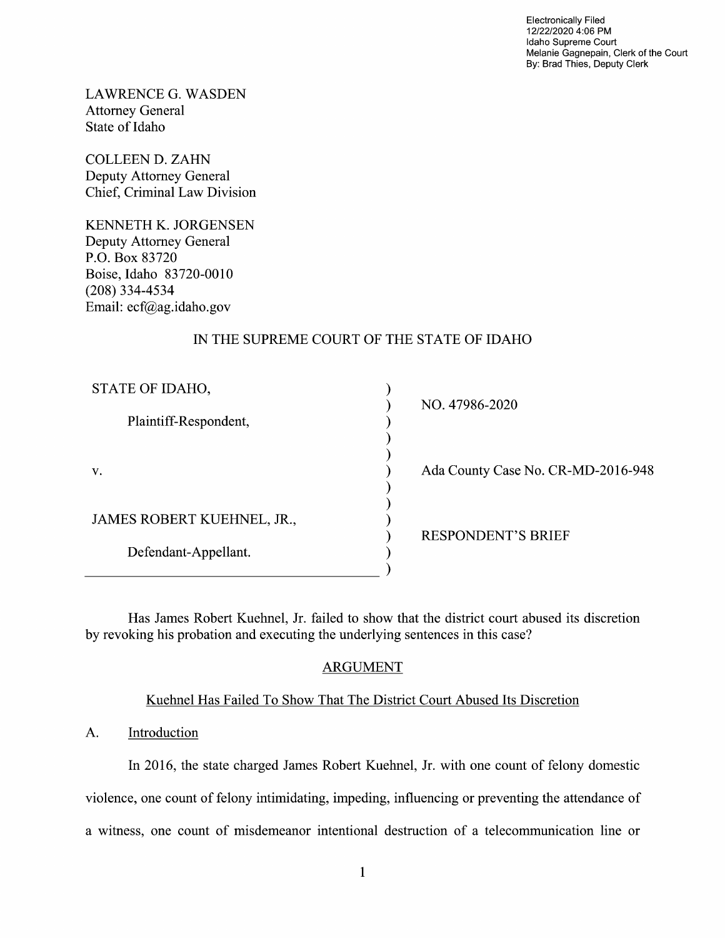Electronically Filed 12/22/2020 4:06 PM Idaho Supreme Court Melanie Gagnepain, Clerk of the Court By: Brad Thies, Deputy Clerk

LAWRENCE G.WASDEN Attorney General State 0f Idaho

COLLEEN D. ZAHN Deputy Attorney General Chief, Criminal Law Division

KENNETH K. JORGENSEN Deputy Attorney General P.O. Box 83720 Boise, Idaho 83720-0010 (208) 334-4534 Email: ecf@ag.idaho.gov

## IN THE SUPREME COURT OF THE STATE OF IDAHO

| STATE OF IDAHO,            | NO. 47986-2020                     |
|----------------------------|------------------------------------|
| Plaintiff-Respondent,      |                                    |
| V.                         | Ada County Case No. CR-MD-2016-948 |
| JAMES ROBERT KUEHNEL, JR., | <b>RESPONDENT'S BRIEF</b>          |
| Defendant-Appellant.       |                                    |

Has James Robert Kuehnel, Jr. failed to show that the district court abused its discretion by revoking his probation and executing the underlying sentences in this case?

# ARGUMENT

### Kuehnel Has Failed T0 Show That The District Court Abused Its Discretion

### A. Introduction

In 2016, the state charged James Robert Kuehnel, Jr. with one count of felony domestic violence, one count of felony intimidating, impeding, influencing or preventing the attendance of a witness, one count of misdemeanor intentional destruction of a telecommunication line or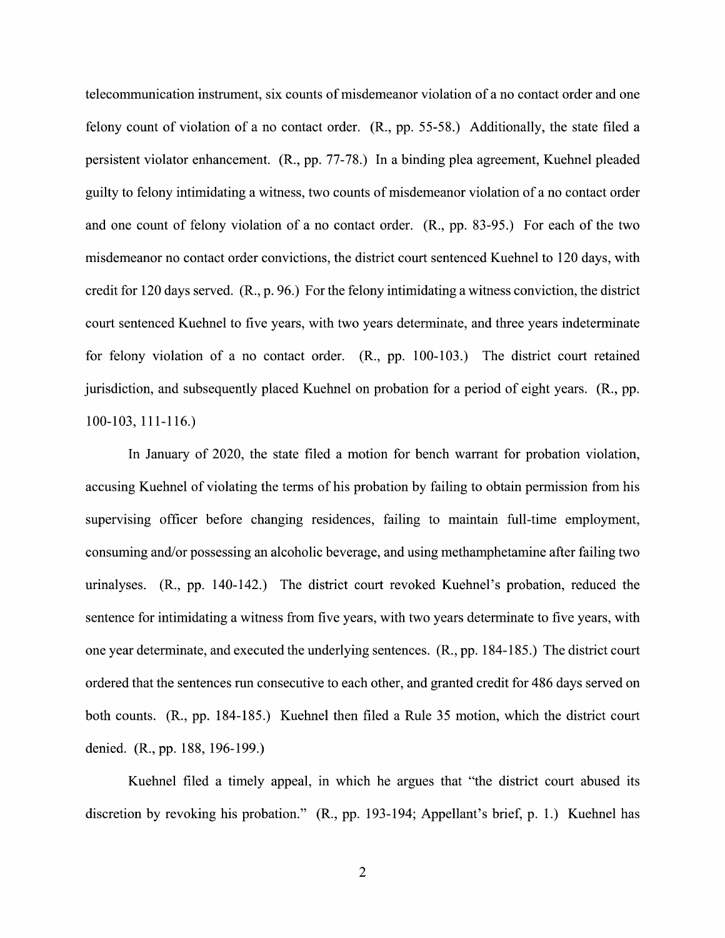telecommunication instrument, six counts of misdemeanor violation of a no contact order and one felony count of violation of a no contact order.  $(R<sub>1</sub>, pp. 55-58.)$  Additionally, the state filed a persistent Violator enhancement. (R., pp. 77-78.) In binding plea agreement, Kuehnel pleaded guilty to felony intimidating a witness, two counts of misdemeanor violation of a no contact order and one count of felony violation of a no contact order.  $(R., pp. 83-95.)$  For each of the two misdemeanor no contact order convictions, the district court sentenced Kuehnel to 120 days, with credit for 120 days served.  $(R_1, p_1, 96)$ . For the felony intimidating a witness conviction, the district court sentenced Kuehnel to five years, with two years determinate, and three years indeterminate for felony violation of a no contact order.  $(R., pp. 100-103.)$  The district court retained jurisdiction, and subsequently placed Kuehnel on probation for a period of eight years. (R., pp. 100-103, 111-1 16.)

In January of 2020, the state filed a motion for bench warrant for probation violation, accusing Kuehnel of violating the terms of his probation by failing to obtain permission from his supervising officer before changing residences, failing to maintain full-time employment, consuming and/or possessing an alcoholic beverage, and using methamphetamine after failing two urinalyses. (R., pp. 140-142.) The district court revoked Kuehnel's probation, reduced the sentence for intimidating a witness from five years, with two years determinate to five years, with one year determinate, and executed the underlying sentences. (R., pp. 184- 85.) The district court ordered that the sentences run consecutive t0 each other, and granted credit for 486 days served 0n both counts. (R., pp. 184-185.) Kuehnel then filed a Rule 35 motion, which the district court denied. (R., pp. 188, 196-199.)

Kuehnel filed a timely appeal, in which he argues that "the district court abused its discretion by revoking his probation." (R., pp. 193-194; Appellant's brief, p. 1.) Kuehnel has

 $\overline{2}$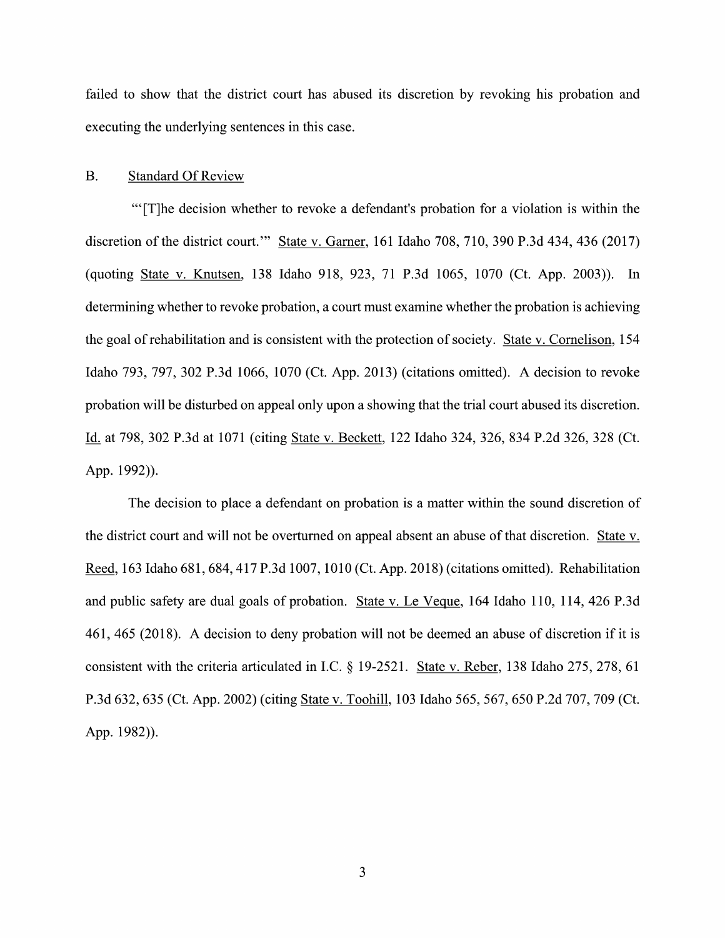failed to show that the district court has abused its discretion by revoking his probation and executing the underlying sentences in this case.

#### B. Standard Of Review

"'[T]he decision whether to revoke a defendant's probation for a violation is within the discretion of the district court." State v. Garner, 161 Idaho 708, 710, 390 P.3d 434, 436 (2017) (quoting State V. Knutsen, <sup>138</sup> Idaho 918, 923, <sup>71</sup> P.3d 1065, <sup>1070</sup> (Ct. App. 2003)). In determining whether to revoke probation, a court must examine whether the probation is achieving the goal of rehabilitation and is consistent with the protection of society. State V. Comelison, 154 Idaho 793, 797, 302 P.3d 1066, 1070 (Ct. App. 2013) (citations omitted). A decision to revoke probation will be disturbed on appeal only upon a showing that the trial court abused its discretion. Id. at 798, 302 P.3d at 1071 (citing State v. Beckett, 122 Idaho 324, 326, 834 P.2d 326, 328 (Ct. App. 1992)).

The decision to place a defendant on probation is a matter within the sound discretion of the district court and will not be overturned on appeal absent an abuse of that discretion. Reed, 163 Idaho 681, 684, 417 P.3d 1007, 1010 (Ct. App. 2018) (citations omitted). Rehabilitation and public safety are dual goals of probation. State v. Le Veque, 164 Idaho 110, 114, 426 P.3d 461, 465 (2018). A decision to deny probation will not be deemed an abuse of discretion if it is consistent with the criteria articulated in I.C.  $\S$  19-2521. State v. Reber, 138 Idaho 275, 278, 61 P.3d 632, <sup>635</sup> (Ct. App. 2002) (citing State V. Toohill, <sup>103</sup> Idaho 565, 567, <sup>650</sup> P.2d 707, <sup>709</sup> (Ct. App. 1982)).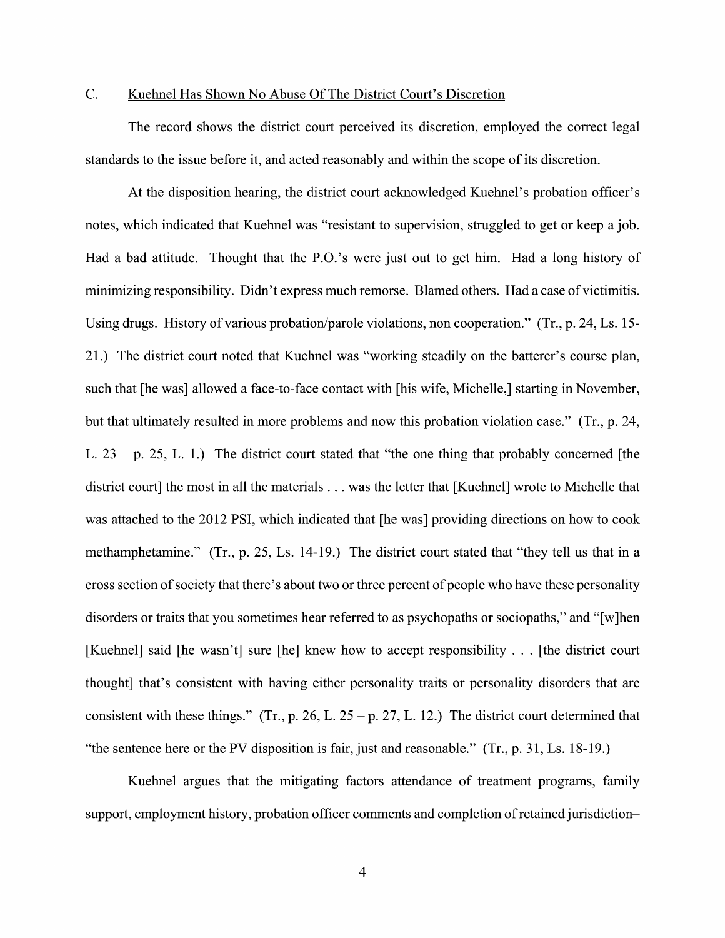### C. Kuehnel Has Shown N0 Abuse Of The District Court's Discretion

The record shows the district court perceived its discretion, employed the correct legal standards to the issue before it, and acted reasonably and within the scope of its discretion.

At the disposition hearing, the district court acknowledged Kuehnel's probation officer's notes, which indicated that Kuehnel was "resistant to supervision, struggled to get or keep a job. Had a bad attitude. Thought that the P.O.'s were just out to get him. Had a long history of minimizing responsibility. Didn't express much remorse. Blamed others. Had a case of victimitis. Using drugs. History of various probation/parole violations, non cooperation." (Tr., p. 24, Ls. 15-21.) The district court noted that Kuehnel was "working steadily on the batterer's course plan, such that [he was] allowed a face-to-face contact with [his wife, Michelle,] starting in November, but that ultimately resulted in more problems and now this probation violation case." (Tr., p. 24, L.  $23 - p$ . 25, L. 1.) The district court stated that "the one thing that probably concerned [the district court] the most in all the materials . . was the letter that [Kuehnel] wrote to Michelle that was attached to the 2012 PSI, which indicated that [he was] providing directions on how to cook methamphetamine." (Tr., p. 25, Ls. 14-19.) The district court stated that "they tell us that in a cross section of society that there's about two or three percent of people who have these personality disorders or traits that you sometimes hear referred to as psychopaths or sociopaths," and "[w]hen [Kuehnel] said [he wasn't] sure [he] knew how to accept responsibility  $\ldots$  [the district court thought] that's consistent with having either personality traits or personality disorders that are consistent with these things." (Tr., p. 26, L. 25 – p. 27, L. 12.) The district court determined that "the sentence here or the PV disposition is fair, just and reasonable."  $(Tr, p. 31, Ls. 18-19)$ .

Kuehnel argues that the mitigating factors—attendance of treatment programs, family support, employment history, probation officer comments and completion of retained jurisdiction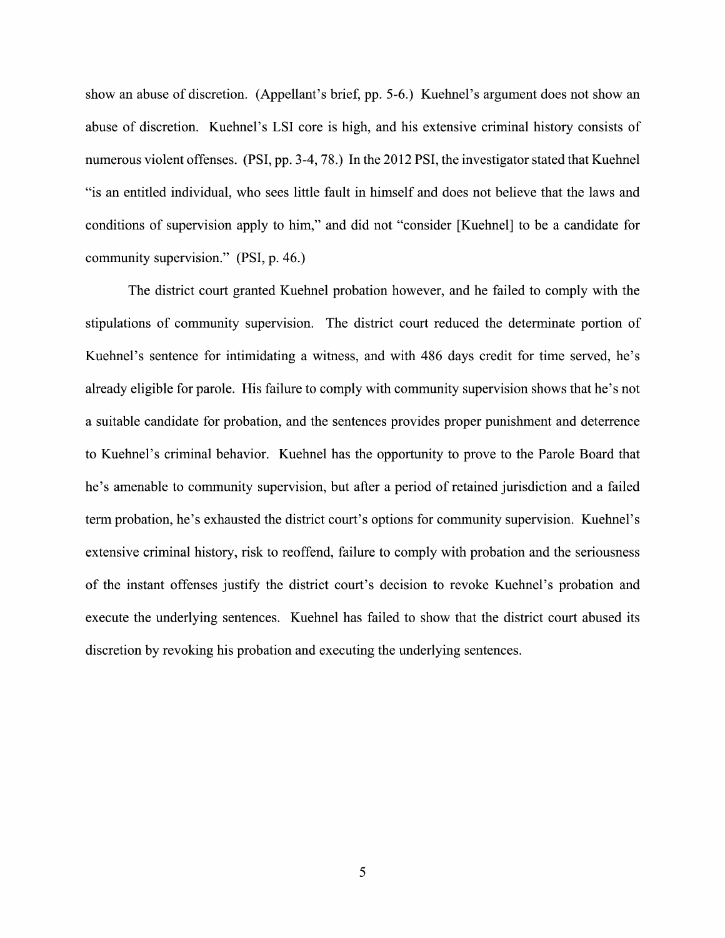show an abuse of discretion. (Appellant's brief, pp. 5-6.) Kuehnel's argument does not show an abuse of discretion. Kuehnel's LSI core is high, and his extensive criminal history consists of numerous violent offenses. (PSI, pp. 3-4, 78.) In the 2012 PSI, the investigator stated that Kuehnel "is an entitled individual, Who sees little fault in himself and does not believe that the laws and conditions of supervision apply to him," and did not "consider [Kuehnel] to be a candidate for community supervision." (PSI, p. 46.)

The district court granted Kuehnel probation however, and he failed to comply With the stipulations of community supervision. The district court reduced the determinate portion of Kuehnel's sentence for intimidating a witness, and with 486 days credit for time served, he's already eligible for parole. His failure to comply with community supervision shows that he's not a suitable candidate for probation, and the sentences provides proper punishment and deterrence to Kuehnel's criminal behavior. Kuehnel has the opportunity to prove to the Parole Board that he's amenable to community supervision, but after a period of retained jurisdiction and a failed term probation, he's exhausted the district court's options for community supervision. Kuehnel's extensive criminal history, risk to reoffend, failure to comply With probation and the seriousness 0f the instant offenses justify the district court's decision t0 revoke Kuehnel's probation and execute the underlying sentences. Kuehnel has failed to show that the district court abused its discretion by revoking his probation and executing the underlying sentences.